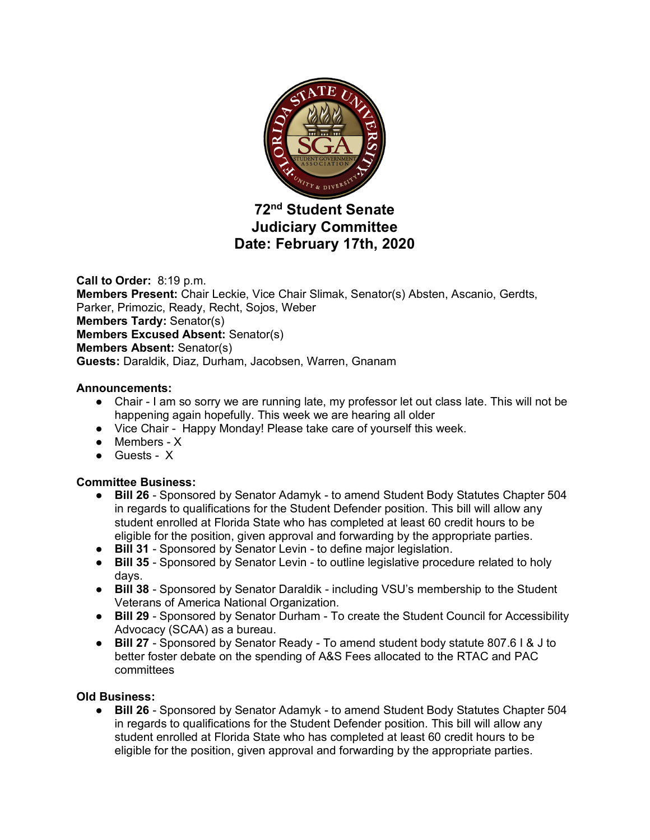

# **72nd Student Senate Judiciary Committee Date: February 17th, 2020**

**Call to Order:** 8:19 p.m. **Members Present:** Chair Leckie, Vice Chair Slimak, Senator(s) Absten, Ascanio, Gerdts, Parker, Primozic, Ready, Recht, Sojos, Weber **Members Tardy:** Senator(s) **Members Excused Absent:** Senator(s) **Members Absent:** Senator(s) **Guests:** Daraldik, Diaz, Durham, Jacobsen, Warren, Gnanam

### **Announcements:**

- Chair I am so sorry we are running late, my professor let out class late. This will not be happening again hopefully. This week we are hearing all older
- Vice Chair Happy Monday! Please take care of yourself this week.
- Members X
- Guests X

# **Committee Business:**

- **Bill 26** Sponsored by Senator Adamyk to amend Student Body Statutes Chapter 504 in regards to qualifications for the Student Defender position. This bill will allow any student enrolled at Florida State who has completed at least 60 credit hours to be eligible for the position, given approval and forwarding by the appropriate parties.
- **Bill 31** Sponsored by Senator Levin to define major legislation.
- **Bill 35** Sponsored by Senator Levin to outline legislative procedure related to holy days.
- **Bill 38** Sponsored by Senator Daraldik including VSU's membership to the Student Veterans of America National Organization.
- **Bill 29** Sponsored by Senator Durham To create the Student Council for Accessibility Advocacy (SCAA) as a bureau.
- **Bill 27** Sponsored by Senator Ready To amend student body statute 807.6 I & J to better foster debate on the spending of A&S Fees allocated to the RTAC and PAC committees

### **Old Business:**

● **Bill 26** - Sponsored by Senator Adamyk - to amend Student Body Statutes Chapter 504 in regards to qualifications for the Student Defender position. This bill will allow any student enrolled at Florida State who has completed at least 60 credit hours to be eligible for the position, given approval and forwarding by the appropriate parties.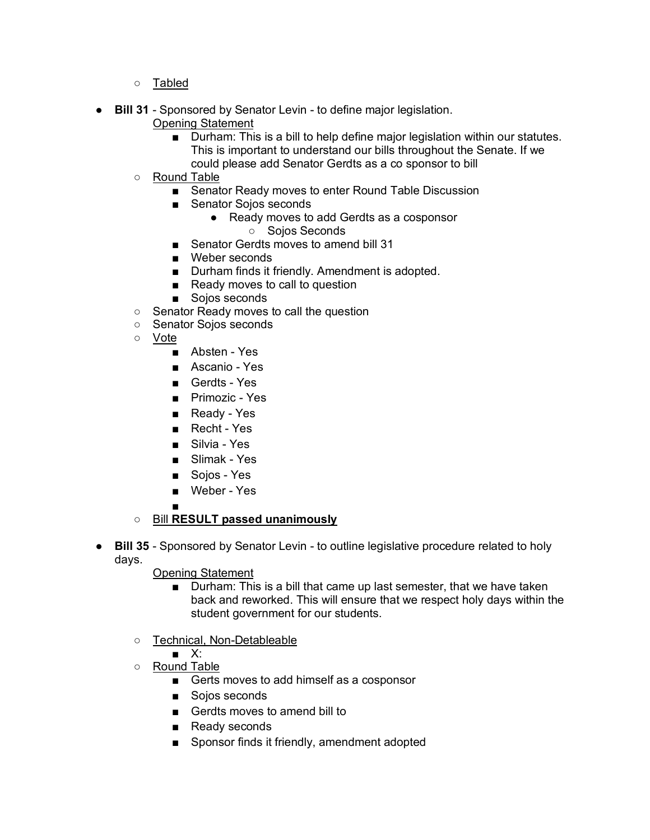- Tabled
- **Bill 31** Sponsored by Senator Levin to define major legislation.
	- Opening Statement
		- Durham: This is a bill to help define major legislation within our statutes. This is important to understand our bills throughout the Senate. If we could please add Senator Gerdts as a co sponsor to bill
	- Round Table
		- Senator Ready moves to enter Round Table Discussion
		- Senator Sojos seconds
			- Ready moves to add Gerdts as a cosponsor
				- Sojos Seconds
		- Senator Gerdts moves to amend bill 31
		- Weber seconds
		- Durham finds it friendly. Amendment is adopted.
		- Ready moves to call to question
		- Sojos seconds
	- Senator Ready moves to call the question
	- Senator Sojos seconds
	- Vote
		- Absten Yes
		- Ascanio Yes
		- Gerdts Yes
		- Primozic Yes
		- Ready Yes
		- Recht Yes
		- Silvia Yes
		- Slimak Yes
		- Sojos Yes
		- Weber Yes
		- ■

# ○ Bill **RESULT passed unanimously**

● **Bill 35** - Sponsored by Senator Levin - to outline legislative procedure related to holy days.

### Opening Statement

- Durham: This is a bill that came up last semester, that we have taken back and reworked. This will ensure that we respect holy days within the student government for our students.
- Technical, Non-Detableable
	- X:
- Round Table
	- Gerts moves to add himself as a cosponsor
	- Sojos seconds
	- Gerdts moves to amend bill to
	- Ready seconds
	- Sponsor finds it friendly, amendment adopted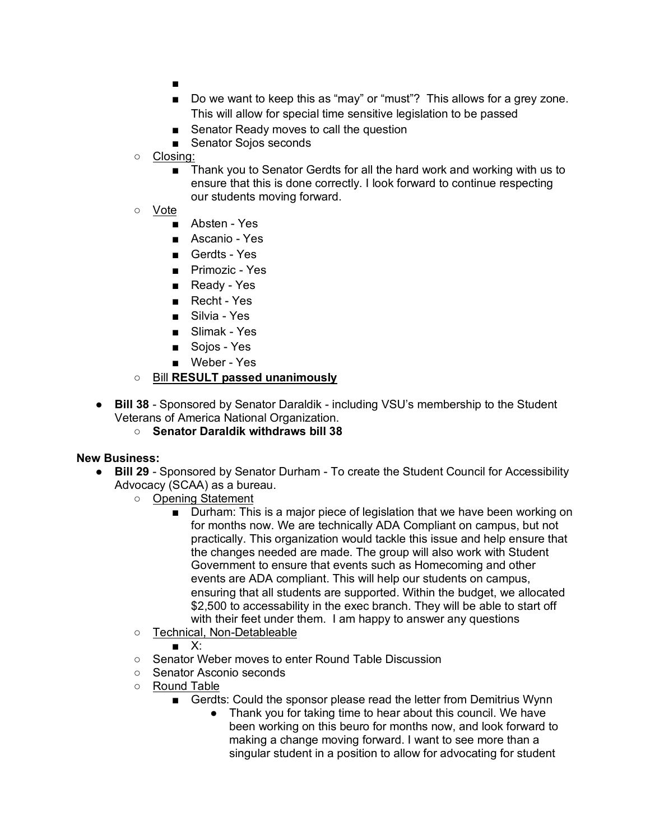- ■
- Do we want to keep this as "may" or "must"? This allows for a grey zone. This will allow for special time sensitive legislation to be passed
- Senator Ready moves to call the question
- Senator Sojos seconds
- Closing:
	- Thank you to Senator Gerdts for all the hard work and working with us to ensure that this is done correctly. I look forward to continue respecting our students moving forward.
- Vote
	- Absten Yes
	- Ascanio Yes
	- Gerdts Yes
	- Primozic Yes
	- Ready Yes
	- Recht Yes
	- Silvia Yes
	- Slimak Yes
	- Soios Yes
	- Weber Yes

## ○ Bill **RESULT passed unanimously**

- **Bill 38** Sponsored by Senator Daraldik including VSU's membership to the Student Veterans of America National Organization.
	- **Senator Daraldik withdraws bill 38**

### **New Business:**

- **Bill 29** Sponsored by Senator Durham To create the Student Council for Accessibility Advocacy (SCAA) as a bureau.
	- Opening Statement
		- Durham: This is a major piece of legislation that we have been working on for months now. We are technically ADA Compliant on campus, but not practically. This organization would tackle this issue and help ensure that the changes needed are made. The group will also work with Student Government to ensure that events such as Homecoming and other events are ADA compliant. This will help our students on campus, ensuring that all students are supported. Within the budget, we allocated \$2,500 to accessability in the exec branch. They will be able to start off with their feet under them. I am happy to answer any questions
	- Technical, Non-Detableable
		- X:
	- Senator Weber moves to enter Round Table Discussion
	- Senator Asconio seconds
	- Round Table
		- Gerdts: Could the sponsor please read the letter from Demitrius Wynn
			- Thank you for taking time to hear about this council. We have been working on this beuro for months now, and look forward to making a change moving forward. I want to see more than a singular student in a position to allow for advocating for student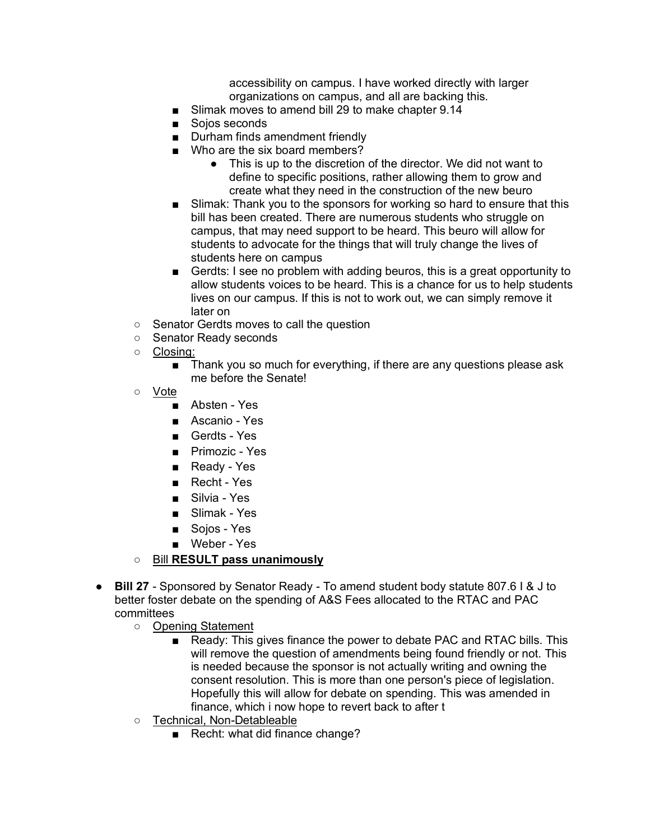accessibility on campus. I have worked directly with larger organizations on campus, and all are backing this.

- Slimak moves to amend bill 29 to make chapter 9.14
- Sojos seconds
- Durham finds amendment friendly
- Who are the six board members?
	- This is up to the discretion of the director. We did not want to define to specific positions, rather allowing them to grow and create what they need in the construction of the new beuro
- Slimak: Thank you to the sponsors for working so hard to ensure that this bill has been created. There are numerous students who struggle on campus, that may need support to be heard. This beuro will allow for students to advocate for the things that will truly change the lives of students here on campus
- Gerdts: I see no problem with adding beuros, this is a great opportunity to allow students voices to be heard. This is a chance for us to help students lives on our campus. If this is not to work out, we can simply remove it later on
- Senator Gerdts moves to call the question
- Senator Ready seconds
- Closing:
	- Thank you so much for everything, if there are any questions please ask me before the Senate!
- Vote
	- Absten Yes
	- Ascanio Yes
	- Gerdts Yes
	- Primozic Yes
	- Ready Yes
	- Recht Yes
	- Silvia Yes
	- Slimak Yes
	- Soios Yes
	- Weber Yes
- Bill **RESULT pass unanimously**
- **Bill 27** Sponsored by Senator Ready To amend student body statute 807.6 I & J to better foster debate on the spending of A&S Fees allocated to the RTAC and PAC committees
	- Opening Statement
		- Ready: This gives finance the power to debate PAC and RTAC bills. This will remove the question of amendments being found friendly or not. This is needed because the sponsor is not actually writing and owning the consent resolution. This is more than one person's piece of legislation. Hopefully this will allow for debate on spending. This was amended in finance, which i now hope to revert back to after t
	- Technical, Non-Detableable
		- Recht: what did finance change?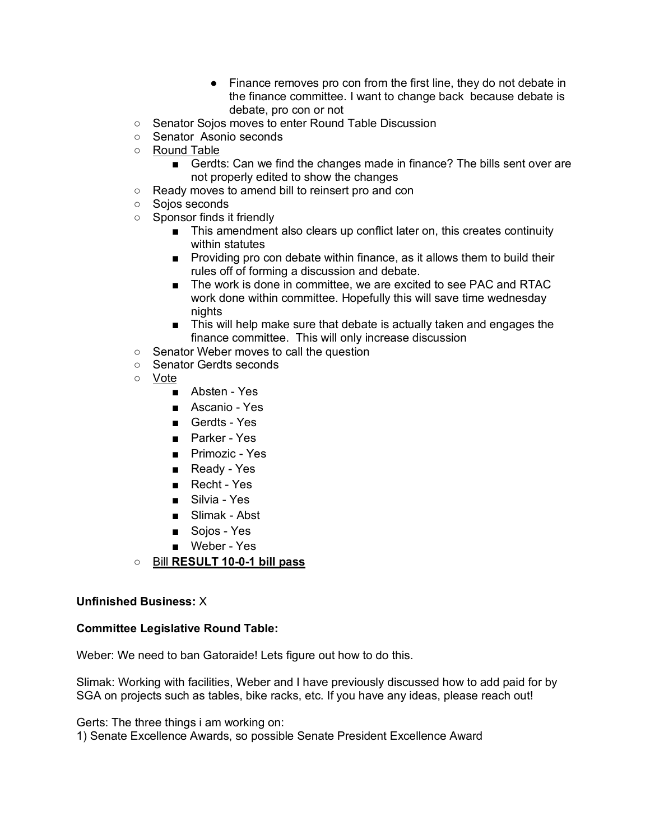- Finance removes pro con from the first line, they do not debate in the finance committee. I want to change back because debate is debate, pro con or not
- Senator Sojos moves to enter Round Table Discussion
- Senator Asonio seconds
- Round Table
	- Gerdts: Can we find the changes made in finance? The bills sent over are not properly edited to show the changes
- Ready moves to amend bill to reinsert pro and con
- Sojos seconds
- Sponsor finds it friendly
	- This amendment also clears up conflict later on, this creates continuity within statutes
	- Providing pro con debate within finance, as it allows them to build their rules off of forming a discussion and debate.
	- The work is done in committee, we are excited to see PAC and RTAC work done within committee. Hopefully this will save time wednesday nights
	- This will help make sure that debate is actually taken and engages the finance committee. This will only increase discussion
- Senator Weber moves to call the question
- Senator Gerdts seconds
- Vote
	- Absten Yes
	- Ascanio Yes
	- Gerdts Yes
	- Parker Yes
	- Primozic Yes
	- Ready Yes
	- Recht Yes
	- Silvia Yes
	- Slimak Abst
	- Sojos Yes
	- Weber Yes
- Bill **RESULT 10-0-1 bill pass**

### **Unfinished Business:** X

#### **Committee Legislative Round Table:**

Weber: We need to ban Gatoraide! Lets figure out how to do this.

Slimak: Working with facilities, Weber and I have previously discussed how to add paid for by SGA on projects such as tables, bike racks, etc. If you have any ideas, please reach out!

Gerts: The three things i am working on:

1) Senate Excellence Awards, so possible Senate President Excellence Award